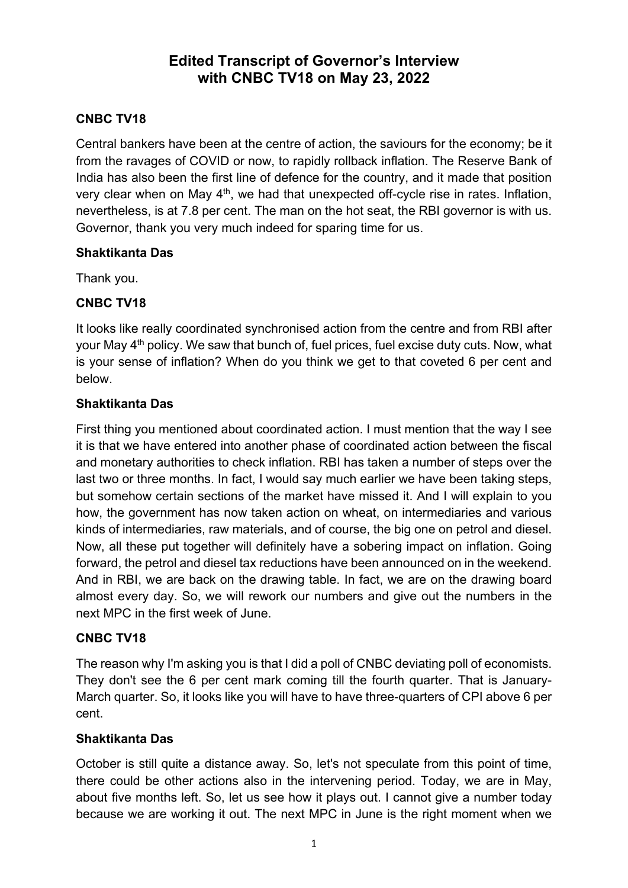## **Edited Transcript of Governor's Interview with CNBC TV18 on May 23, 2022**

## **CNBC TV18**

Central bankers have been at the centre of action, the saviours for the economy; be it from the ravages of COVID or now, to rapidly rollback inflation. The Reserve Bank of India has also been the first line of defence for the country, and it made that position very clear when on May  $4<sup>th</sup>$ , we had that unexpected off-cycle rise in rates. Inflation, nevertheless, is at 7.8 per cent. The man on the hot seat, the RBI governor is with us. Governor, thank you very much indeed for sparing time for us.

#### **Shaktikanta Das**

Thank you.

#### **CNBC TV18**

It looks like really coordinated synchronised action from the centre and from RBI after your May 4<sup>th</sup> policy. We saw that bunch of, fuel prices, fuel excise duty cuts. Now, what is your sense of inflation? When do you think we get to that coveted 6 per cent and below.

#### **Shaktikanta Das**

First thing you mentioned about coordinated action. I must mention that the way I see it is that we have entered into another phase of coordinated action between the fiscal and monetary authorities to check inflation. RBI has taken a number of steps over the last two or three months. In fact, I would say much earlier we have been taking steps, but somehow certain sections of the market have missed it. And I will explain to you how, the government has now taken action on wheat, on intermediaries and various kinds of intermediaries, raw materials, and of course, the big one on petrol and diesel. Now, all these put together will definitely have a sobering impact on inflation. Going forward, the petrol and diesel tax reductions have been announced on in the weekend. And in RBI, we are back on the drawing table. In fact, we are on the drawing board almost every day. So, we will rework our numbers and give out the numbers in the next MPC in the first week of June.

#### **CNBC TV18**

The reason why I'm asking you is that I did a poll of CNBC deviating poll of economists. They don't see the 6 per cent mark coming till the fourth quarter. That is January-March quarter. So, it looks like you will have to have three-quarters of CPI above 6 per cent.

#### **Shaktikanta Das**

October is still quite a distance away. So, let's not speculate from this point of time, there could be other actions also in the intervening period. Today, we are in May, about five months left. So, let us see how it plays out. I cannot give a number today because we are working it out. The next MPC in June is the right moment when we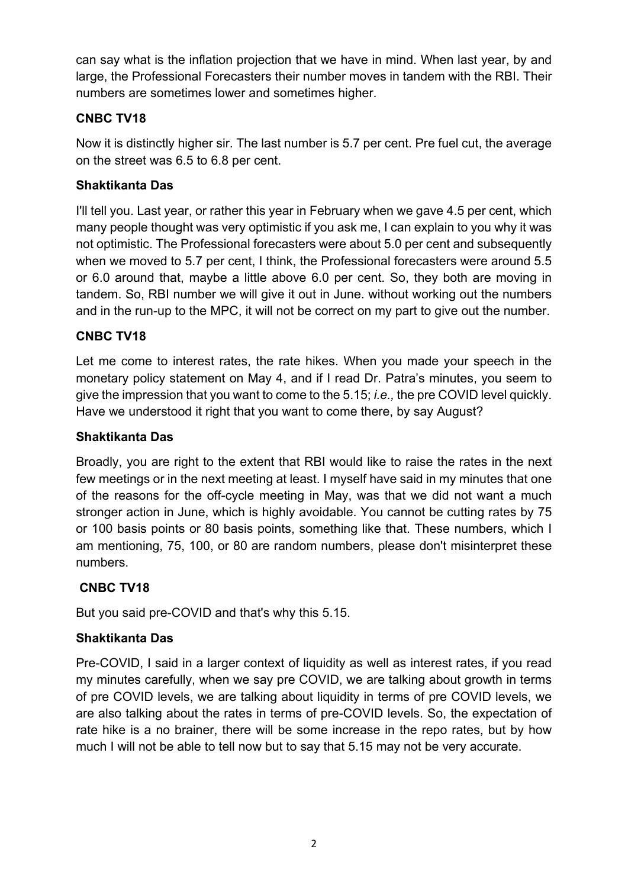can say what is the inflation projection that we have in mind. When last year, by and large, the Professional Forecasters their number moves in tandem with the RBI. Their numbers are sometimes lower and sometimes higher.

## **CNBC TV18**

Now it is distinctly higher sir. The last number is 5.7 per cent. Pre fuel cut, the average on the street was 6.5 to 6.8 per cent.

## **Shaktikanta Das**

I'll tell you. Last year, or rather this year in February when we gave 4.5 per cent, which many people thought was very optimistic if you ask me, I can explain to you why it was not optimistic. The Professional forecasters were about 5.0 per cent and subsequently when we moved to 5.7 per cent, I think, the Professional forecasters were around 5.5 or 6.0 around that, maybe a little above 6.0 per cent. So, they both are moving in tandem. So, RBI number we will give it out in June. without working out the numbers and in the run-up to the MPC, it will not be correct on my part to give out the number.

## **CNBC TV18**

Let me come to interest rates, the rate hikes. When you made your speech in the monetary policy statement on May 4, and if I read Dr. Patra's minutes, you seem to give the impression that you want to come to the 5.15; *i.e.,* the pre COVID level quickly. Have we understood it right that you want to come there, by say August?

## **Shaktikanta Das**

Broadly, you are right to the extent that RBI would like to raise the rates in the next few meetings or in the next meeting at least. I myself have said in my minutes that one of the reasons for the off-cycle meeting in May, was that we did not want a much stronger action in June, which is highly avoidable. You cannot be cutting rates by 75 or 100 basis points or 80 basis points, something like that. These numbers, which I am mentioning, 75, 100, or 80 are random numbers, please don't misinterpret these numbers.

## **CNBC TV18**

But you said pre-COVID and that's why this 5.15.

## **Shaktikanta Das**

Pre-COVID, I said in a larger context of liquidity as well as interest rates, if you read my minutes carefully, when we say pre COVID, we are talking about growth in terms of pre COVID levels, we are talking about liquidity in terms of pre COVID levels, we are also talking about the rates in terms of pre-COVID levels. So, the expectation of rate hike is a no brainer, there will be some increase in the repo rates, but by how much I will not be able to tell now but to say that 5.15 may not be very accurate.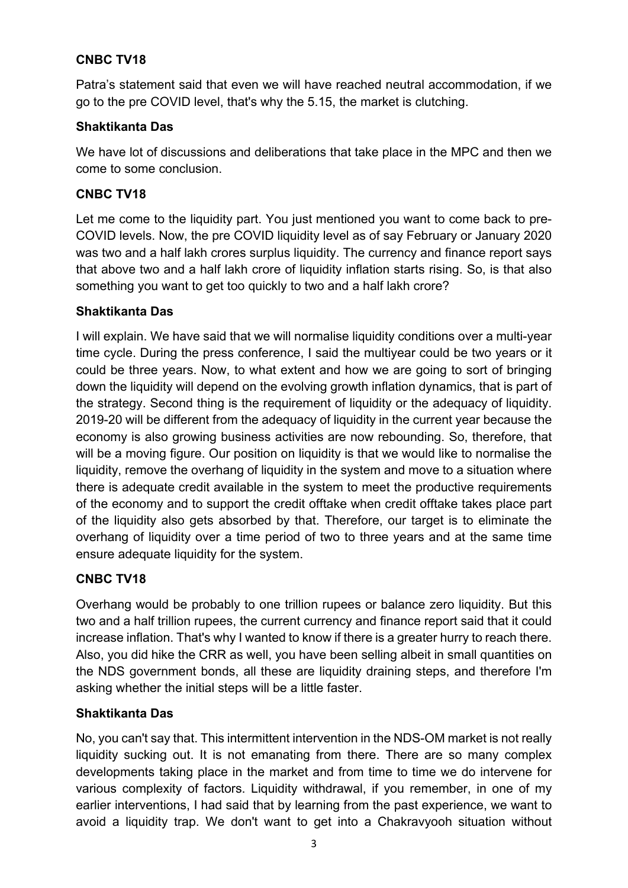### **CNBC TV18**

Patra's statement said that even we will have reached neutral accommodation, if we go to the pre COVID level, that's why the 5.15, the market is clutching.

#### **Shaktikanta Das**

We have lot of discussions and deliberations that take place in the MPC and then we come to some conclusion.

#### **CNBC TV18**

Let me come to the liquidity part. You just mentioned you want to come back to pre-COVID levels. Now, the pre COVID liquidity level as of say February or January 2020 was two and a half lakh crores surplus liquidity. The currency and finance report says that above two and a half lakh crore of liquidity inflation starts rising. So, is that also something you want to get too quickly to two and a half lakh crore?

#### **Shaktikanta Das**

I will explain. We have said that we will normalise liquidity conditions over a multi-year time cycle. During the press conference, I said the multiyear could be two years or it could be three years. Now, to what extent and how we are going to sort of bringing down the liquidity will depend on the evolving growth inflation dynamics, that is part of the strategy. Second thing is the requirement of liquidity or the adequacy of liquidity. 2019-20 will be different from the adequacy of liquidity in the current year because the economy is also growing business activities are now rebounding. So, therefore, that will be a moving figure. Our position on liquidity is that we would like to normalise the liquidity, remove the overhang of liquidity in the system and move to a situation where there is adequate credit available in the system to meet the productive requirements of the economy and to support the credit offtake when credit offtake takes place part of the liquidity also gets absorbed by that. Therefore, our target is to eliminate the overhang of liquidity over a time period of two to three years and at the same time ensure adequate liquidity for the system.

#### **CNBC TV18**

Overhang would be probably to one trillion rupees or balance zero liquidity. But this two and a half trillion rupees, the current currency and finance report said that it could increase inflation. That's why I wanted to know if there is a greater hurry to reach there. Also, you did hike the CRR as well, you have been selling albeit in small quantities on the NDS government bonds, all these are liquidity draining steps, and therefore I'm asking whether the initial steps will be a little faster.

#### **Shaktikanta Das**

No, you can't say that. This intermittent intervention in the NDS-OM market is not really liquidity sucking out. It is not emanating from there. There are so many complex developments taking place in the market and from time to time we do intervene for various complexity of factors. Liquidity withdrawal, if you remember, in one of my earlier interventions, I had said that by learning from the past experience, we want to avoid a liquidity trap. We don't want to get into a Chakravyooh situation without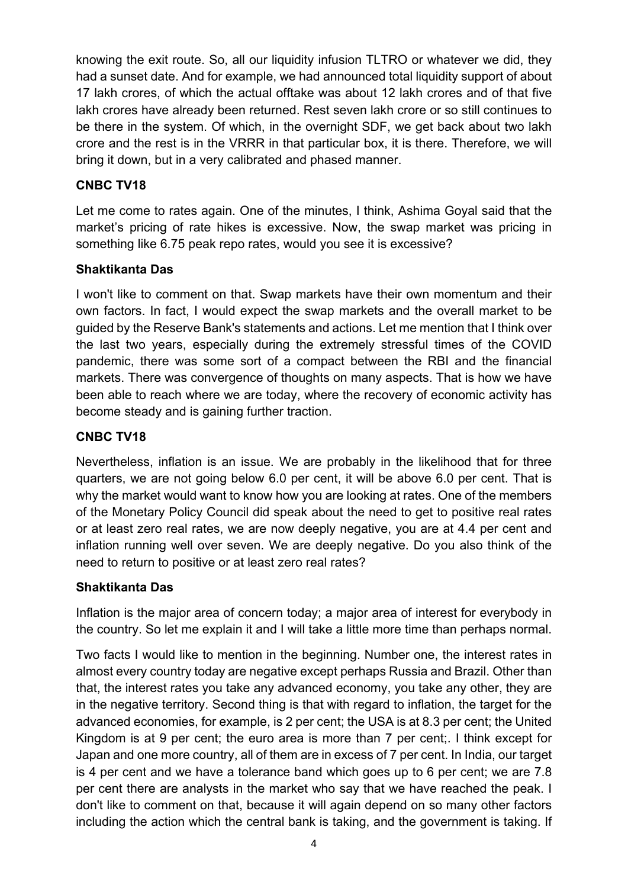knowing the exit route. So, all our liquidity infusion TLTRO or whatever we did, they had a sunset date. And for example, we had announced total liquidity support of about 17 lakh crores, of which the actual offtake was about 12 lakh crores and of that five lakh crores have already been returned. Rest seven lakh crore or so still continues to be there in the system. Of which, in the overnight SDF, we get back about two lakh crore and the rest is in the VRRR in that particular box, it is there. Therefore, we will bring it down, but in a very calibrated and phased manner.

#### **CNBC TV18**

Let me come to rates again. One of the minutes, I think, Ashima Goyal said that the market's pricing of rate hikes is excessive. Now, the swap market was pricing in something like 6.75 peak repo rates, would you see it is excessive?

#### **Shaktikanta Das**

I won't like to comment on that. Swap markets have their own momentum and their own factors. In fact, I would expect the swap markets and the overall market to be guided by the Reserve Bank's statements and actions. Let me mention that I think over the last two years, especially during the extremely stressful times of the COVID pandemic, there was some sort of a compact between the RBI and the financial markets. There was convergence of thoughts on many aspects. That is how we have been able to reach where we are today, where the recovery of economic activity has become steady and is gaining further traction.

#### **CNBC TV18**

Nevertheless, inflation is an issue. We are probably in the likelihood that for three quarters, we are not going below 6.0 per cent, it will be above 6.0 per cent. That is why the market would want to know how you are looking at rates. One of the members of the Monetary Policy Council did speak about the need to get to positive real rates or at least zero real rates, we are now deeply negative, you are at 4.4 per cent and inflation running well over seven. We are deeply negative. Do you also think of the need to return to positive or at least zero real rates?

#### **Shaktikanta Das**

Inflation is the major area of concern today; a major area of interest for everybody in the country. So let me explain it and I will take a little more time than perhaps normal.

Two facts I would like to mention in the beginning. Number one, the interest rates in almost every country today are negative except perhaps Russia and Brazil. Other than that, the interest rates you take any advanced economy, you take any other, they are in the negative territory. Second thing is that with regard to inflation, the target for the advanced economies, for example, is 2 per cent; the USA is at 8.3 per cent; the United Kingdom is at 9 per cent; the euro area is more than 7 per cent;. I think except for Japan and one more country, all of them are in excess of 7 per cent. In India, our target is 4 per cent and we have a tolerance band which goes up to 6 per cent; we are 7.8 per cent there are analysts in the market who say that we have reached the peak. I don't like to comment on that, because it will again depend on so many other factors including the action which the central bank is taking, and the government is taking. If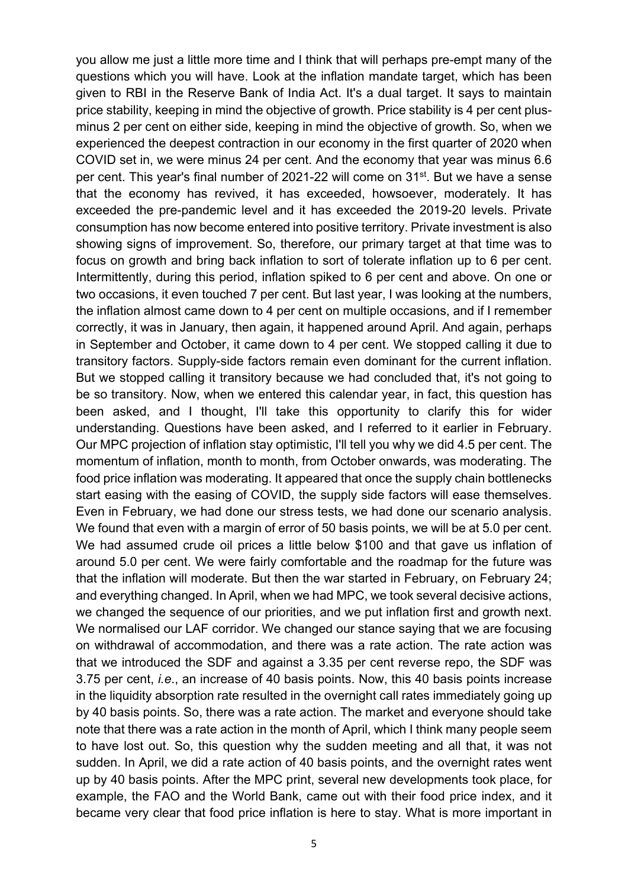you allow me just a little more time and I think that will perhaps pre-empt many of the questions which you will have. Look at the inflation mandate target, which has been given to RBI in the Reserve Bank of India Act. It's a dual target. It says to maintain price stability, keeping in mind the objective of growth. Price stability is 4 per cent plusminus 2 per cent on either side, keeping in mind the objective of growth. So, when we experienced the deepest contraction in our economy in the first quarter of 2020 when COVID set in, we were minus 24 per cent. And the economy that year was minus 6.6 per cent. This year's final number of 2021-22 will come on 31st. But we have a sense that the economy has revived, it has exceeded, howsoever, moderately. It has exceeded the pre-pandemic level and it has exceeded the 2019-20 levels. Private consumption has now become entered into positive territory. Private investment is also showing signs of improvement. So, therefore, our primary target at that time was to focus on growth and bring back inflation to sort of tolerate inflation up to 6 per cent. Intermittently, during this period, inflation spiked to 6 per cent and above. On one or two occasions, it even touched 7 per cent. But last year, I was looking at the numbers, the inflation almost came down to 4 per cent on multiple occasions, and if I remember correctly, it was in January, then again, it happened around April. And again, perhaps in September and October, it came down to 4 per cent. We stopped calling it due to transitory factors. Supply-side factors remain even dominant for the current inflation. But we stopped calling it transitory because we had concluded that, it's not going to be so transitory. Now, when we entered this calendar year, in fact, this question has been asked, and I thought, I'll take this opportunity to clarify this for wider understanding. Questions have been asked, and I referred to it earlier in February. Our MPC projection of inflation stay optimistic, I'll tell you why we did 4.5 per cent. The momentum of inflation, month to month, from October onwards, was moderating. The food price inflation was moderating. It appeared that once the supply chain bottlenecks start easing with the easing of COVID, the supply side factors will ease themselves. Even in February, we had done our stress tests, we had done our scenario analysis. We found that even with a margin of error of 50 basis points, we will be at 5.0 per cent. We had assumed crude oil prices a little below \$100 and that gave us inflation of around 5.0 per cent. We were fairly comfortable and the roadmap for the future was that the inflation will moderate. But then the war started in February, on February 24; and everything changed. In April, when we had MPC, we took several decisive actions, we changed the sequence of our priorities, and we put inflation first and growth next. We normalised our LAF corridor. We changed our stance saying that we are focusing on withdrawal of accommodation, and there was a rate action. The rate action was that we introduced the SDF and against a 3.35 per cent reverse repo, the SDF was 3.75 per cent, *i.e*., an increase of 40 basis points. Now, this 40 basis points increase in the liquidity absorption rate resulted in the overnight call rates immediately going up by 40 basis points. So, there was a rate action. The market and everyone should take note that there was a rate action in the month of April, which I think many people seem to have lost out. So, this question why the sudden meeting and all that, it was not sudden. In April, we did a rate action of 40 basis points, and the overnight rates went up by 40 basis points. After the MPC print, several new developments took place, for example, the FAO and the World Bank, came out with their food price index, and it became very clear that food price inflation is here to stay. What is more important in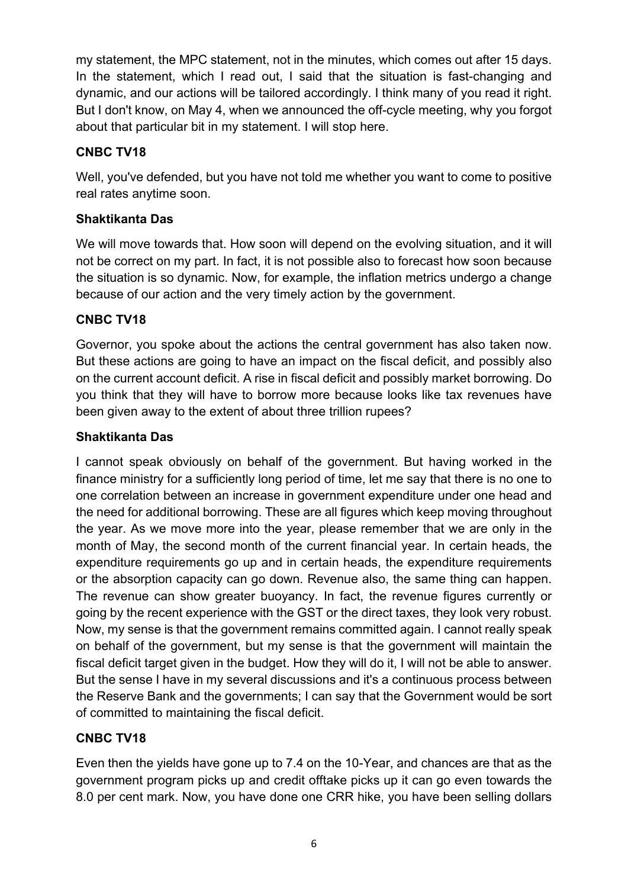my statement, the MPC statement, not in the minutes, which comes out after 15 days. In the statement, which I read out, I said that the situation is fast-changing and dynamic, and our actions will be tailored accordingly. I think many of you read it right. But I don't know, on May 4, when we announced the off-cycle meeting, why you forgot about that particular bit in my statement. I will stop here.

## **CNBC TV18**

Well, you've defended, but you have not told me whether you want to come to positive real rates anytime soon.

## **Shaktikanta Das**

We will move towards that. How soon will depend on the evolving situation, and it will not be correct on my part. In fact, it is not possible also to forecast how soon because the situation is so dynamic. Now, for example, the inflation metrics undergo a change because of our action and the very timely action by the government.

### **CNBC TV18**

Governor, you spoke about the actions the central government has also taken now. But these actions are going to have an impact on the fiscal deficit, and possibly also on the current account deficit. A rise in fiscal deficit and possibly market borrowing. Do you think that they will have to borrow more because looks like tax revenues have been given away to the extent of about three trillion rupees?

#### **Shaktikanta Das**

I cannot speak obviously on behalf of the government. But having worked in the finance ministry for a sufficiently long period of time, let me say that there is no one to one correlation between an increase in government expenditure under one head and the need for additional borrowing. These are all figures which keep moving throughout the year. As we move more into the year, please remember that we are only in the month of May, the second month of the current financial year. In certain heads, the expenditure requirements go up and in certain heads, the expenditure requirements or the absorption capacity can go down. Revenue also, the same thing can happen. The revenue can show greater buoyancy. In fact, the revenue figures currently or going by the recent experience with the GST or the direct taxes, they look very robust. Now, my sense is that the government remains committed again. I cannot really speak on behalf of the government, but my sense is that the government will maintain the fiscal deficit target given in the budget. How they will do it, I will not be able to answer. But the sense I have in my several discussions and it's a continuous process between the Reserve Bank and the governments; I can say that the Government would be sort of committed to maintaining the fiscal deficit.

## **CNBC TV18**

Even then the yields have gone up to 7.4 on the 10-Year, and chances are that as the government program picks up and credit offtake picks up it can go even towards the 8.0 per cent mark. Now, you have done one CRR hike, you have been selling dollars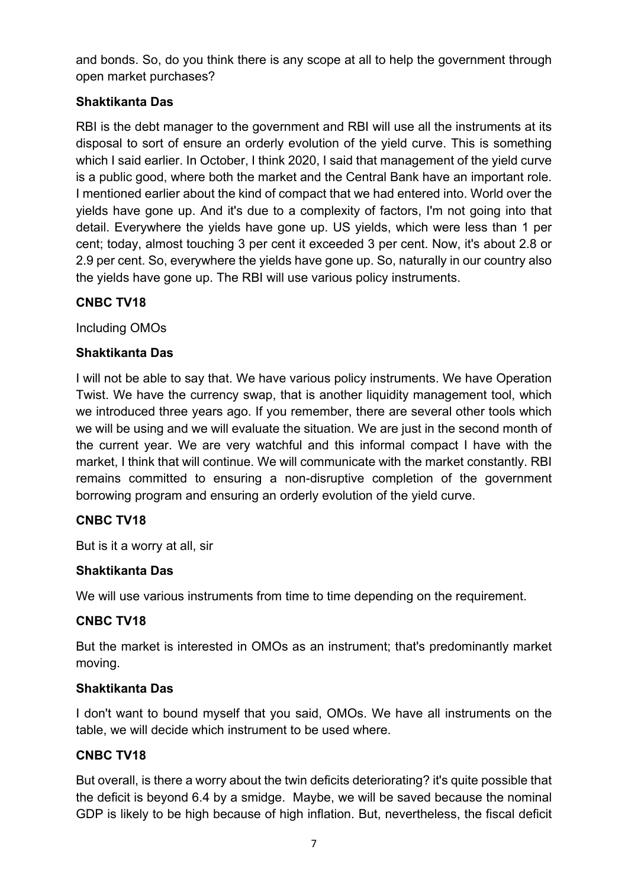and bonds. So, do you think there is any scope at all to help the government through open market purchases?

## **Shaktikanta Das**

RBI is the debt manager to the government and RBI will use all the instruments at its disposal to sort of ensure an orderly evolution of the yield curve. This is something which I said earlier. In October, I think 2020, I said that management of the yield curve is a public good, where both the market and the Central Bank have an important role. I mentioned earlier about the kind of compact that we had entered into. World over the yields have gone up. And it's due to a complexity of factors, I'm not going into that detail. Everywhere the yields have gone up. US yields, which were less than 1 per cent; today, almost touching 3 per cent it exceeded 3 per cent. Now, it's about 2.8 or 2.9 per cent. So, everywhere the yields have gone up. So, naturally in our country also the yields have gone up. The RBI will use various policy instruments.

### **CNBC TV18**

Including OMOs

### **Shaktikanta Das**

I will not be able to say that. We have various policy instruments. We have Operation Twist. We have the currency swap, that is another liquidity management tool, which we introduced three years ago. If you remember, there are several other tools which we will be using and we will evaluate the situation. We are just in the second month of the current year. We are very watchful and this informal compact I have with the market, I think that will continue. We will communicate with the market constantly. RBI remains committed to ensuring a non-disruptive completion of the government borrowing program and ensuring an orderly evolution of the yield curve.

#### **CNBC TV18**

But is it a worry at all, sir

#### **Shaktikanta Das**

We will use various instruments from time to time depending on the requirement.

#### **CNBC TV18**

But the market is interested in OMOs as an instrument; that's predominantly market moving.

#### **Shaktikanta Das**

I don't want to bound myself that you said, OMOs. We have all instruments on the table, we will decide which instrument to be used where.

#### **CNBC TV18**

But overall, is there a worry about the twin deficits deteriorating? it's quite possible that the deficit is beyond 6.4 by a smidge. Maybe, we will be saved because the nominal GDP is likely to be high because of high inflation. But, nevertheless, the fiscal deficit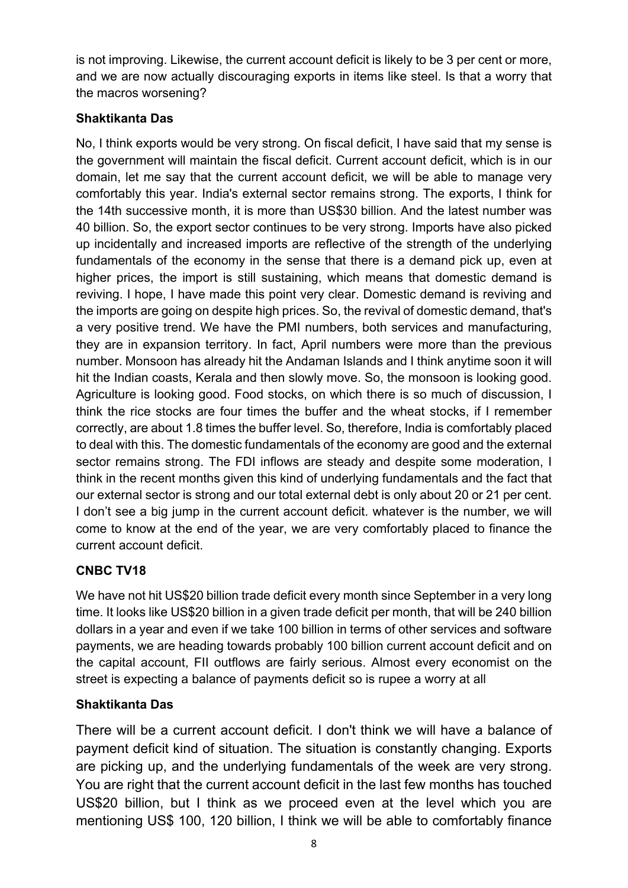is not improving. Likewise, the current account deficit is likely to be 3 per cent or more, and we are now actually discouraging exports in items like steel. Is that a worry that the macros worsening?

## **Shaktikanta Das**

No, I think exports would be very strong. On fiscal deficit, I have said that my sense is the government will maintain the fiscal deficit. Current account deficit, which is in our domain, let me say that the current account deficit, we will be able to manage very comfortably this year. India's external sector remains strong. The exports, I think for the 14th successive month, it is more than US\$30 billion. And the latest number was 40 billion. So, the export sector continues to be very strong. Imports have also picked up incidentally and increased imports are reflective of the strength of the underlying fundamentals of the economy in the sense that there is a demand pick up, even at higher prices, the import is still sustaining, which means that domestic demand is reviving. I hope, I have made this point very clear. Domestic demand is reviving and the imports are going on despite high prices. So, the revival of domestic demand, that's a very positive trend. We have the PMI numbers, both services and manufacturing, they are in expansion territory. In fact, April numbers were more than the previous number. Monsoon has already hit the Andaman Islands and I think anytime soon it will hit the Indian coasts, Kerala and then slowly move. So, the monsoon is looking good. Agriculture is looking good. Food stocks, on which there is so much of discussion, I think the rice stocks are four times the buffer and the wheat stocks, if I remember correctly, are about 1.8 times the buffer level. So, therefore, India is comfortably placed to deal with this. The domestic fundamentals of the economy are good and the external sector remains strong. The FDI inflows are steady and despite some moderation, I think in the recent months given this kind of underlying fundamentals and the fact that our external sector is strong and our total external debt is only about 20 or 21 per cent. I don't see a big jump in the current account deficit. whatever is the number, we will come to know at the end of the year, we are very comfortably placed to finance the current account deficit.

# **CNBC TV18**

We have not hit US\$20 billion trade deficit every month since September in a very long time. It looks like US\$20 billion in a given trade deficit per month, that will be 240 billion dollars in a year and even if we take 100 billion in terms of other services and software payments, we are heading towards probably 100 billion current account deficit and on the capital account, FII outflows are fairly serious. Almost every economist on the street is expecting a balance of payments deficit so is rupee a worry at all

# **Shaktikanta Das**

There will be a current account deficit. I don't think we will have a balance of payment deficit kind of situation. The situation is constantly changing. Exports are picking up, and the underlying fundamentals of the week are very strong. You are right that the current account deficit in the last few months has touched US\$20 billion, but I think as we proceed even at the level which you are mentioning US\$ 100, 120 billion, I think we will be able to comfortably finance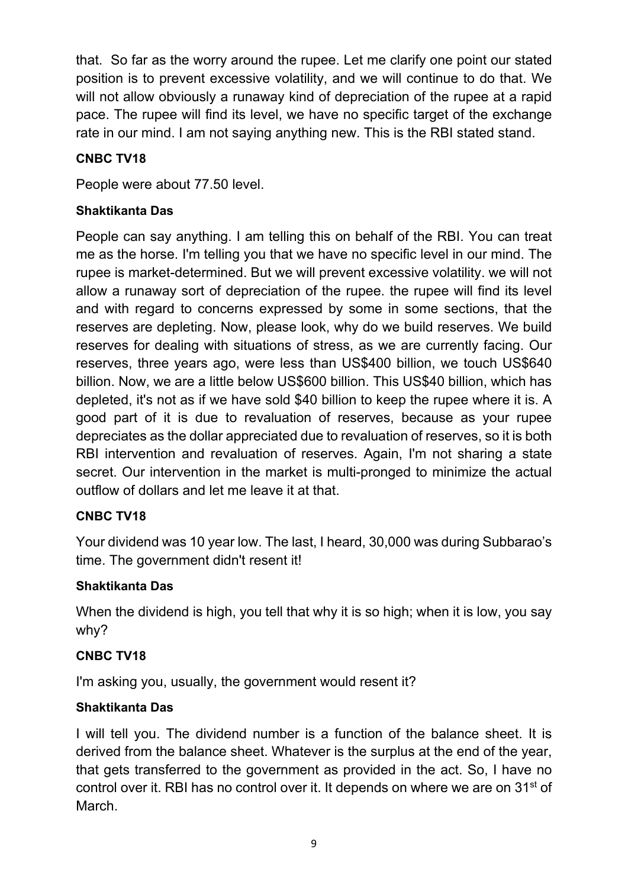that. So far as the worry around the rupee. Let me clarify one point our stated position is to prevent excessive volatility, and we will continue to do that. We will not allow obviously a runaway kind of depreciation of the rupee at a rapid pace. The rupee will find its level, we have no specific target of the exchange rate in our mind. I am not saying anything new. This is the RBI stated stand.

## **CNBC TV18**

People were about 77.50 level.

## **Shaktikanta Das**

People can say anything. I am telling this on behalf of the RBI. You can treat me as the horse. I'm telling you that we have no specific level in our mind. The rupee is market-determined. But we will prevent excessive volatility. we will not allow a runaway sort of depreciation of the rupee. the rupee will find its level and with regard to concerns expressed by some in some sections, that the reserves are depleting. Now, please look, why do we build reserves. We build reserves for dealing with situations of stress, as we are currently facing. Our reserves, three years ago, were less than US\$400 billion, we touch US\$640 billion. Now, we are a little below US\$600 billion. This US\$40 billion, which has depleted, it's not as if we have sold \$40 billion to keep the rupee where it is. A good part of it is due to revaluation of reserves, because as your rupee depreciates as the dollar appreciated due to revaluation of reserves, so it is both RBI intervention and revaluation of reserves. Again, I'm not sharing a state secret. Our intervention in the market is multi-pronged to minimize the actual outflow of dollars and let me leave it at that.

## **CNBC TV18**

Your dividend was 10 year low. The last, I heard, 30,000 was during Subbarao's time. The government didn't resent it!

## **Shaktikanta Das**

When the dividend is high, you tell that why it is so high; when it is low, you say why?

## **CNBC TV18**

I'm asking you, usually, the government would resent it?

## **Shaktikanta Das**

I will tell you. The dividend number is a function of the balance sheet. It is derived from the balance sheet. Whatever is the surplus at the end of the year, that gets transferred to the government as provided in the act. So, I have no control over it. RBI has no control over it. It depends on where we are on 31<sup>st</sup> of March.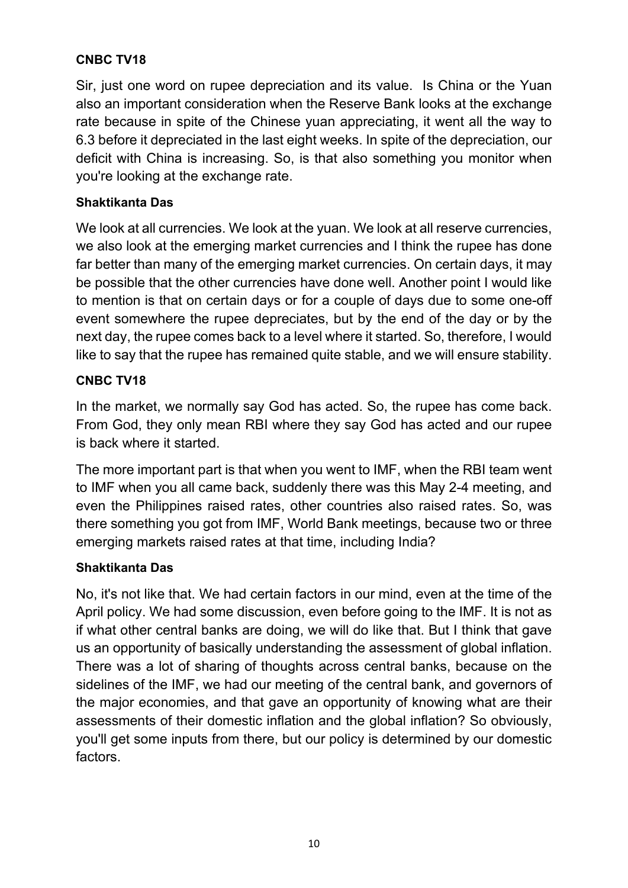## **CNBC TV18**

Sir, just one word on rupee depreciation and its value. Is China or the Yuan also an important consideration when the Reserve Bank looks at the exchange rate because in spite of the Chinese yuan appreciating, it went all the way to 6.3 before it depreciated in the last eight weeks. In spite of the depreciation, our deficit with China is increasing. So, is that also something you monitor when you're looking at the exchange rate.

### **Shaktikanta Das**

We look at all currencies. We look at the yuan. We look at all reserve currencies, we also look at the emerging market currencies and I think the rupee has done far better than many of the emerging market currencies. On certain days, it may be possible that the other currencies have done well. Another point I would like to mention is that on certain days or for a couple of days due to some one-off event somewhere the rupee depreciates, but by the end of the day or by the next day, the rupee comes back to a level where it started. So, therefore, I would like to say that the rupee has remained quite stable, and we will ensure stability.

### **CNBC TV18**

In the market, we normally say God has acted. So, the rupee has come back. From God, they only mean RBI where they say God has acted and our rupee is back where it started.

The more important part is that when you went to IMF, when the RBI team went to IMF when you all came back, suddenly there was this May 2-4 meeting, and even the Philippines raised rates, other countries also raised rates. So, was there something you got from IMF, World Bank meetings, because two or three emerging markets raised rates at that time, including India?

#### **Shaktikanta Das**

No, it's not like that. We had certain factors in our mind, even at the time of the April policy. We had some discussion, even before going to the IMF. It is not as if what other central banks are doing, we will do like that. But I think that gave us an opportunity of basically understanding the assessment of global inflation. There was a lot of sharing of thoughts across central banks, because on the sidelines of the IMF, we had our meeting of the central bank, and governors of the major economies, and that gave an opportunity of knowing what are their assessments of their domestic inflation and the global inflation? So obviously, you'll get some inputs from there, but our policy is determined by our domestic factors.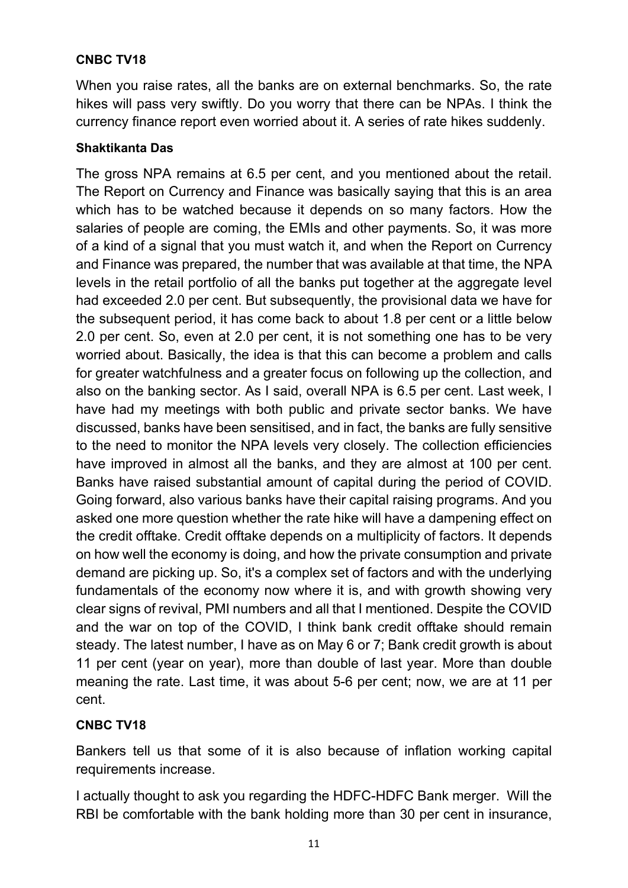## **CNBC TV18**

When you raise rates, all the banks are on external benchmarks. So, the rate hikes will pass very swiftly. Do you worry that there can be NPAs. I think the currency finance report even worried about it. A series of rate hikes suddenly.

#### **Shaktikanta Das**

The gross NPA remains at 6.5 per cent, and you mentioned about the retail. The Report on Currency and Finance was basically saying that this is an area which has to be watched because it depends on so many factors. How the salaries of people are coming, the EMIs and other payments. So, it was more of a kind of a signal that you must watch it, and when the Report on Currency and Finance was prepared, the number that was available at that time, the NPA levels in the retail portfolio of all the banks put together at the aggregate level had exceeded 2.0 per cent. But subsequently, the provisional data we have for the subsequent period, it has come back to about 1.8 per cent or a little below 2.0 per cent. So, even at 2.0 per cent, it is not something one has to be very worried about. Basically, the idea is that this can become a problem and calls for greater watchfulness and a greater focus on following up the collection, and also on the banking sector. As I said, overall NPA is 6.5 per cent. Last week, I have had my meetings with both public and private sector banks. We have discussed, banks have been sensitised, and in fact, the banks are fully sensitive to the need to monitor the NPA levels very closely. The collection efficiencies have improved in almost all the banks, and they are almost at 100 per cent. Banks have raised substantial amount of capital during the period of COVID. Going forward, also various banks have their capital raising programs. And you asked one more question whether the rate hike will have a dampening effect on the credit offtake. Credit offtake depends on a multiplicity of factors. It depends on how well the economy is doing, and how the private consumption and private demand are picking up. So, it's a complex set of factors and with the underlying fundamentals of the economy now where it is, and with growth showing very clear signs of revival, PMI numbers and all that I mentioned. Despite the COVID and the war on top of the COVID, I think bank credit offtake should remain steady. The latest number, I have as on May 6 or 7; Bank credit growth is about 11 per cent (year on year), more than double of last year. More than double meaning the rate. Last time, it was about 5-6 per cent; now, we are at 11 per cent.

#### **CNBC TV18**

Bankers tell us that some of it is also because of inflation working capital requirements increase.

I actually thought to ask you regarding the HDFC-HDFC Bank merger. Will the RBI be comfortable with the bank holding more than 30 per cent in insurance,